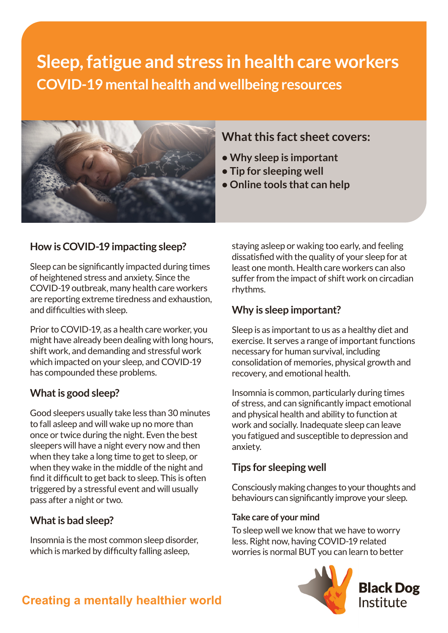# **Sleep, fatigue and stress in health care workers COVID-19 mental health and wellbeing resources**



# **How is COVID-19 impacting sleep?**

Sleep can be significantly impacted during times of heightened stress and anxiety. Since the COVID-19 outbreak, many health care workers are reporting extreme tiredness and exhaustion, and difficulties with sleep.

Prior to COVID-19, as a health care worker, you might have already been dealing with long hours, shift work, and demanding and stressful work which impacted on your sleep, and COVID-19 has compounded these problems.

#### **What is good sleep?**

Good sleepers usually take less than 30 minutes to fall asleep and will wake up no more than once or twice during the night. Even the best sleepers will have a night every now and then when they take a long time to get to sleep, or when they wake in the middle of the night and find it difficult to get back to sleep. This is often triggered by a stressful event and will usually pass after a night or two.

#### **What is bad sleep?**

Insomnia is the most common sleep disorder, which is marked by difficulty falling asleep.

# **What this fact sheet covers:**

- **Why sleep is important**
- **Tip for sleeping well**
- **Online tools that can help**

staying asleep or waking too early, and feeling dissatisfied with the quality of your sleep for at least one month. Health care workers can also suffer from the impact of shift work on circadian rhythms.

# **Why is sleep important?**

Sleep is as important to us as a healthy diet and exercise. It serves a range of important functions necessary for human survival, including consolidation of memories, physical growth and recovery, and emotional health.

Insomnia is common, particularly during times of stress, and can significantly impact emotional and physical health and ability to function at work and socially. Inadequate sleep can leave you fatigued and susceptible to depression and anxiety.

### **Tips for sleeping well**

Consciously making changes to your thoughts and behaviours can significantly improve your sleep.

#### **Take care of your mind**

To sleep well we know that we have to worry less. Right now, having COVID-19 related worries is normal BUT you can learn to better



# **Creating a mentally healthier world**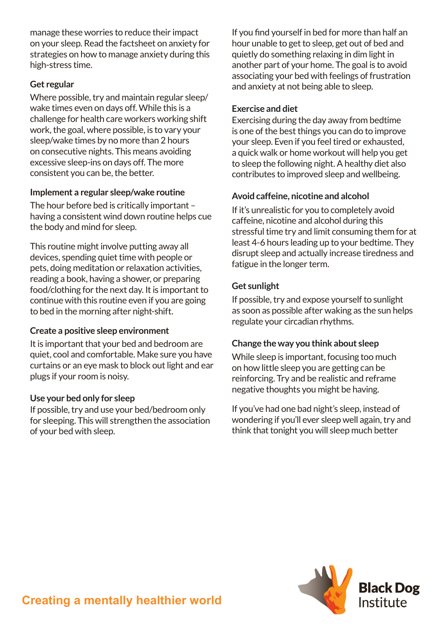manage these worries to reduce their impact on your sleep. Read the factsheet on anxiety for strategies on how to manage anxiety during this high-stress time.

#### **Get regular**

Where possible, try and maintain regular sleep/ wake times even on days off. While this is a challenge for health care workers working shift work, the goal, where possible, is to vary your sleep/wake times by no more than 2 hours on consecutive nights. This means avoiding excessive sleep-ins on days off. The more consistent you can be, the better.

#### **Implement a regular sleep/wake routine**

The hour before bed is critically important – having a consistent wind down routine helps cue the body and mind for sleep.

This routine might involve putting away all devices, spending quiet time with people or pets, doing meditation or relaxation activities, reading a book, having a shower, or preparing food/clothing for the next day. It is important to continue with this routine even if you are going to bed in the morning after night-shift.

#### **Create a positive sleep environment**

It is important that your bed and bedroom are quiet, cool and comfortable. Make sure you have curtains or an eye mask to block out light and ear plugs if your room is noisy.

#### **Use your bed only for sleep**

If possible, try and use your bed/bedroom only for sleeping. This will strengthen the association of your bed with sleep.

If you find yourself in bed for more than half an hour unable to get to sleep, get out of bed and quietly do something relaxing in dim light in another part of your home. The goal is to avoid associating your bed with feelings of frustration and anxiety at not being able to sleep.

#### **Exercise and diet**

Exercising during the day away from bedtime is one of the best things you can do to improve your sleep. Even if you feel tired or exhausted, a quick walk or home workout will help you get to sleep the following night. A healthy diet also contributes to improved sleep and wellbeing.

#### **Avoid caffeine, nicotine and alcohol**

If it's unrealistic for you to completely avoid caffeine, nicotine and alcohol during this stressful time try and limit consuming them for at least 4-6 hours leading up to your bedtime. They disrupt sleep and actually increase tiredness and fatigue in the longer term.

#### **Get sunlight**

If possible, try and expose yourself to sunlight as soon as possible after waking as the sun helps regulate your circadian rhythms.

#### **Change the way you think about sleep**

While sleep is important, focusing too much on how little sleep you are getting can be reinforcing. Try and be realistic and reframe negative thoughts you might be having.

If you've had one bad night's sleep, instead of wondering if you'll ever sleep well again, try and think that tonight you will sleep much better